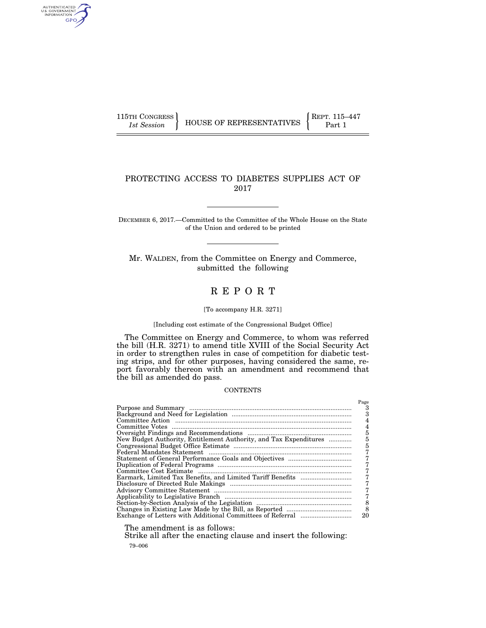AUTHENTICATED<br>U.S. GOVERNMENT<br>INFORMATION GPO

## PROTECTING ACCESS TO DIABETES SUPPLIES ACT OF 2017

DECEMBER 6, 2017.—Committed to the Committee of the Whole House on the State of the Union and ordered to be printed

Mr. WALDEN, from the Committee on Energy and Commerce, submitted the following

# R E P O R T

#### [To accompany H.R. 3271]

#### [Including cost estimate of the Congressional Budget Office]

The Committee on Energy and Commerce, to whom was referred the bill (H.R. 3271) to amend title XVIII of the Social Security Act in order to strengthen rules in case of competition for diabetic testing strips, and for other purposes, having considered the same, report favorably thereon with an amendment and recommend that the bill as amended do pass.

#### **CONTENTS**

|                                                                   | Page |
|-------------------------------------------------------------------|------|
|                                                                   |      |
|                                                                   |      |
|                                                                   |      |
|                                                                   |      |
|                                                                   | 5    |
|                                                                   |      |
| New Budget Authority, Entitlement Authority, and Tax Expenditures | 5    |
|                                                                   |      |
|                                                                   |      |
|                                                                   |      |
|                                                                   |      |
|                                                                   |      |
|                                                                   |      |
|                                                                   |      |
|                                                                   |      |
|                                                                   |      |
|                                                                   | 8    |
|                                                                   | 8    |
|                                                                   | 20   |

The amendment is as follows:

79–006 Strike all after the enacting clause and insert the following: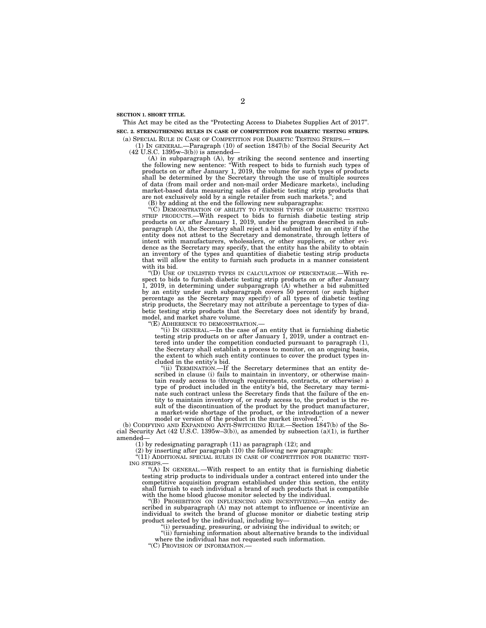**SECTION 1. SHORT TITLE.** 

This Act may be cited as the "Protecting Access to Diabetes Supplies Act of 2017". **SEC. 2. STRENGTHENING RULES IN CASE OF COMPETITION FOR DIABETIC TESTING STRIPS.** 

## (a) SPECIAL RULE IN CASE OF COMPETITION FOR DIABETIC TESTING STRIPS.—

(1) IN GENERAL.—Paragraph (10) of section 1847(b) of the Social Security Act (42 U.S.C. 1395w–3(b)) is amended—

(A) in subparagraph (A), by striking the second sentence and inserting the following new sentence: ''With respect to bids to furnish such types of products on or after January 1, 2019, the volume for such types of products shall be determined by the Secretary through the use of multiple sources of data (from mail order and non-mail order Medicare markets), including market-based data measuring sales of diabetic testing strip products that are not exclusively sold by a single retailer from such markets.''; and

(B) by adding at the end the following new subparagraphs:

 $\rm ^{\dot{a}}(\dot{C})$  Demonstration of ability to furnish types of diabetic testing STRIP PRODUCTS.—With respect to bids to furnish diabetic testing strip products on or after January 1, 2019, under the program described in subparagraph (A), the Secretary shall reject a bid submitted by an entity if the entity does not attest to the Secretary and demonstrate, through letters of intent with manufacturers, wholesalers, or other suppliers, or other evidence as the Secretary may specify, that the entity has the ability to obtain an inventory of the types and quantities of diabetic testing strip products that will allow the entity to furnish such products in a manner consistent with its bid.

''(D) USE OF UNLISTED TYPES IN CALCULATION OF PERCENTAGE.—With respect to bids to furnish diabetic testing strip products on or after January 1, 2019, in determining under subparagraph (A) whether a bid submitted by an entity under such subparagraph covers 50 percent (or such higher percentage as the Secretary may specify) of all types of diabetic testing strip products, the Secretary may not attribute a percentage to types of diabetic testing strip products that the Secretary does not identify by brand, model, and market share volume.

''(E) ADHERENCE TO DEMONSTRATION.—

''(i) IN GENERAL.—In the case of an entity that is furnishing diabetic testing strip products on or after January 1, 2019, under a contract entered into under the competition conducted pursuant to paragraph (1), the Secretary shall establish a process to monitor, on an ongoing basis, the extent to which such entity continues to cover the product types included in the entity's bid.

"(ii) TERMINATION.—If the Secretary determines that an entity described in clause (i) fails to maintain in inventory, or otherwise maintain ready access to (through requirements, contracts, or otherwise) a type of product included in the entity's bid, the Secretary may terminate such contract unless the Secretary finds that the failure of the entity to maintain inventory of, or ready access to, the product is the result of the discontinuation of the product by the product manufacturer, a market-wide shortage of the product, or the introduction of a newer model or version of the product in the market involved.

(b) CODIFYING AND EXPANDING ANTI-SWITCHING RULE.—Section 1847(b) of the Social Security Act  $(42 \text{ U.S.C. } 1395\text{w}-3(b))$ , as amended by subsection  $(a)(1)$ , is further amended—

(1) by redesignating paragraph (11) as paragraph (12); and

(2) by inserting after paragraph (10) the following new paragraph:

 $\mathbb{P}(11)$  ADDITIONAL SPECIAL RULES IN CASE OF COMPETITION FOR DIABETIC TEST-ING STRIPS.

''(A) IN GENERAL.—With respect to an entity that is furnishing diabetic testing strip products to individuals under a contract entered into under the competitive acquisition program established under this section, the entity shall furnish to each individual a brand of such products that is compatible with the home blood glucose monitor selected by the individual.

''(B) PROHIBITION ON INFLUENCING AND INCENTIVIZING.—An entity described in subparagraph (A) may not attempt to influence or incentivize an individual to switch the brand of glucose monitor or diabetic testing strip product selected by the individual, including by—

''(i) persuading, pressuring, or advising the individual to switch; or

"(ii) furnishing information about alternative brands to the individual where the individual has not requested such information.

''(C) PROVISION OF INFORMATION.—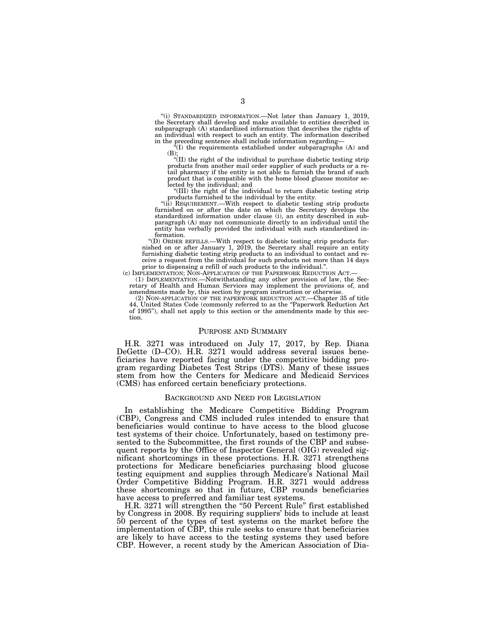''(i) STANDARDIZED INFORMATION.—Not later than January 1, 2019, the Secretary shall develop and make available to entities described in subparagraph (A) standardized information that describes the rights of an individual with respect to such an entity. The information described in the preceding sentence shall include information regarding—

''(I) the requirements established under subparagraphs (A) and

(B); ''(II) the right of the individual to purchase diabetic testing strip products from another mail order supplier of such products or a retail pharmacy if the entity is not able to furnish the brand of such product that is compatible with the home blood glucose monitor selected by the individual; and

''(III) the right of the individual to return diabetic testing strip

products furnished to the individual by the entity.<br>"(ii) REQUIREMENT.—With respect to diabetic testing strip products furnished on or after the date on which the Secretary develops the standardized information under clause (i), an entity described in subparagraph (A) may not communicate directly to an individual until the entity has verbally provided the individual with such standardized information.

''(D) ORDER REFILLS.—With respect to diabetic testing strip products furnished on or after January 1, 2019, the Secretary shall require an entity furnishing diabetic testing strip products to an individual to contact and receive a request from the individual for such products not more than 14 days prior to dispensing a refill of such products to the individual.''.

(c) IMPLEMENTATION; NON-APPLICATION OF THE PAPERWORK REDUCTION ACT.— (1) IMPLEMENTATION.—Notwithstanding any other provision of law, the Secretary of Health and Human Services may implement the provisions of, and amendments made by, this section by program instruction or otherwise.

(2) NON-APPLICATION OF THE PAPERWORK REDUCTION ACT.—Chapter 35 of title 44, United States Code (commonly referred to as the ''Paperwork Reduction Act of 1995''), shall not apply to this section or the amendments made by this section.

#### PURPOSE AND SUMMARY

H.R. 3271 was introduced on July 17, 2017, by Rep. Diana DeGette (D–CO). H.R. 3271 would address several issues beneficiaries have reported facing under the competitive bidding program regarding Diabetes Test Strips (DTS). Many of these issues stem from how the Centers for Medicare and Medicaid Services (CMS) has enforced certain beneficiary protections.

#### BACKGROUND AND NEED FOR LEGISLATION

In establishing the Medicare Competitive Bidding Program (CBP), Congress and CMS included rules intended to ensure that beneficiaries would continue to have access to the blood glucose test systems of their choice. Unfortunately, based on testimony presented to the Subcommittee, the first rounds of the CBP and subsequent reports by the Office of Inspector General (OIG) revealed significant shortcomings in these protections. H.R. 3271 strengthens protections for Medicare beneficiaries purchasing blood glucose testing equipment and supplies through Medicare's National Mail Order Competitive Bidding Program. H.R. 3271 would address these shortcomings so that in future, CBP rounds beneficiaries have access to preferred and familiar test systems.

H.R. 3271 will strengthen the "50 Percent Rule" first established by Congress in 2008. By requiring suppliers' bids to include at least 50 percent of the types of test systems on the market before the implementation of CBP, this rule seeks to ensure that beneficiaries are likely to have access to the testing systems they used before CBP. However, a recent study by the American Association of Dia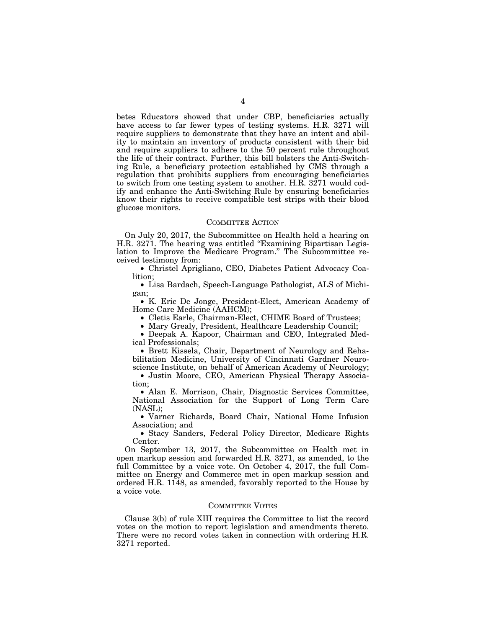betes Educators showed that under CBP, beneficiaries actually have access to far fewer types of testing systems. H.R. 3271 will require suppliers to demonstrate that they have an intent and ability to maintain an inventory of products consistent with their bid and require suppliers to adhere to the 50 percent rule throughout the life of their contract. Further, this bill bolsters the Anti-Switching Rule, a beneficiary protection established by CMS through a regulation that prohibits suppliers from encouraging beneficiaries to switch from one testing system to another. H.R. 3271 would codify and enhance the Anti-Switching Rule by ensuring beneficiaries know their rights to receive compatible test strips with their blood glucose monitors.

#### COMMITTEE ACTION

On July 20, 2017, the Subcommittee on Health held a hearing on H.R. 3271. The hearing was entitled "Examining Bipartisan Legislation to Improve the Medicare Program.'' The Subcommittee received testimony from:

• Christel Aprigliano, CEO, Diabetes Patient Advocacy Coalition;

• Lisa Bardach, Speech-Language Pathologist, ALS of Michigan;

• K. Eric De Jonge, President-Elect, American Academy of Home Care Medicine (AAHCM);

• Cletis Earle, Chairman-Elect, CHIME Board of Trustees;

• Mary Grealy, President, Healthcare Leadership Council;

• Deepak A. Kapoor, Chairman and CEO, Integrated Medical Professionals;

• Brett Kissela, Chair, Department of Neurology and Rehabilitation Medicine, University of Cincinnati Gardner Neuroscience Institute, on behalf of American Academy of Neurology;

• Justin Moore, CEO, American Physical Therapy Association;

• Alan E. Morrison, Chair, Diagnostic Services Committee, National Association for the Support of Long Term Care (NASL);

• Varner Richards, Board Chair, National Home Infusion Association; and

• Stacy Sanders, Federal Policy Director, Medicare Rights Center.

On September 13, 2017, the Subcommittee on Health met in open markup session and forwarded H.R. 3271, as amended, to the full Committee by a voice vote. On October 4, 2017, the full Committee on Energy and Commerce met in open markup session and ordered H.R. 1148, as amended, favorably reported to the House by a voice vote.

### COMMITTEE VOTES

Clause 3(b) of rule XIII requires the Committee to list the record votes on the motion to report legislation and amendments thereto. There were no record votes taken in connection with ordering H.R. 3271 reported.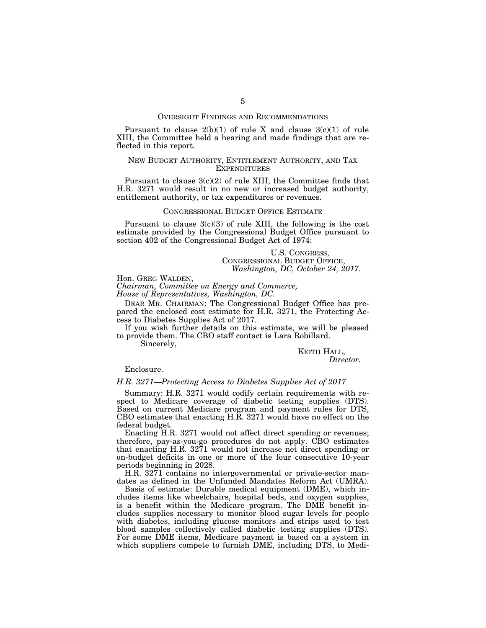#### OVERSIGHT FINDINGS AND RECOMMENDATIONS

Pursuant to clause  $2(b)(1)$  of rule X and clause  $3(c)(1)$  of rule XIII, the Committee held a hearing and made findings that are reflected in this report.

#### NEW BUDGET AUTHORITY, ENTITLEMENT AUTHORITY, AND TAX **EXPENDITURES**

Pursuant to clause  $3(c)(2)$  of rule XIII, the Committee finds that H.R. 3271 would result in no new or increased budget authority, entitlement authority, or tax expenditures or revenues.

#### CONGRESSIONAL BUDGET OFFICE ESTIMATE

Pursuant to clause  $3(c)(3)$  of rule XIII, the following is the cost estimate provided by the Congressional Budget Office pursuant to section 402 of the Congressional Budget Act of 1974:

> U.S. CONGRESS, CONGRESSIONAL BUDGET OFFICE, *Washington, DC, October 24, 2017.*

Hon. GREG WALDEN,

*Chairman, Committee on Energy and Commerce, House of Representatives, Washington, DC.* 

DEAR MR. CHAIRMAN: The Congressional Budget Office has prepared the enclosed cost estimate for H.R. 3271, the Protecting Access to Diabetes Supplies Act of 2017.

If you wish further details on this estimate, we will be pleased to provide them. The CBO staff contact is Lara Robillard.

Sincerely,

KEITH HALL, *Director.* 

### Enclosure.

#### *H.R. 3271—Protecting Access to Diabetes Supplies Act of 2017*

Summary: H.R. 3271 would codify certain requirements with respect to Medicare coverage of diabetic testing supplies (DTS). Based on current Medicare program and payment rules for DTS, CBO estimates that enacting H.R. 3271 would have no effect on the federal budget.

Enacting H.R. 3271 would not affect direct spending or revenues; therefore, pay-as-you-go procedures do not apply. CBO estimates that enacting H.R. 3271 would not increase net direct spending or on-budget deficits in one or more of the four consecutive 10-year periods beginning in 2028.

H.R. 3271 contains no intergovernmental or private-sector mandates as defined in the Unfunded Mandates Reform Act (UMRA).

Basis of estimate: Durable medical equipment (DME), which includes items like wheelchairs, hospital beds, and oxygen supplies, is a benefit within the Medicare program. The DME benefit includes supplies necessary to monitor blood sugar levels for people with diabetes, including glucose monitors and strips used to test blood samples collectively called diabetic testing supplies (DTS). For some DME items, Medicare payment is based on a system in which suppliers compete to furnish DME, including DTS, to Medi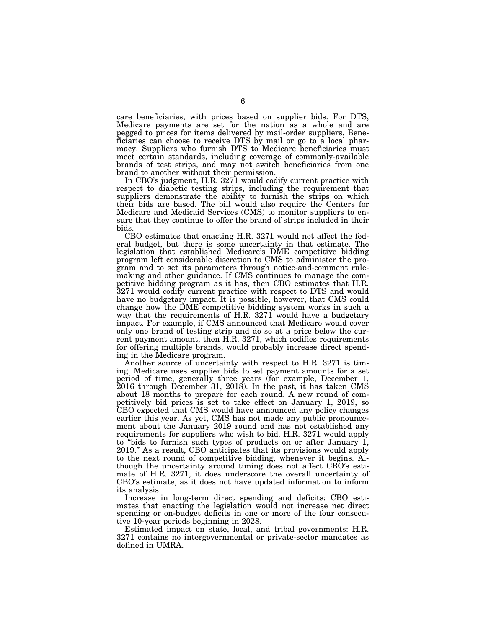care beneficiaries, with prices based on supplier bids. For DTS, Medicare payments are set for the nation as a whole and are pegged to prices for items delivered by mail-order suppliers. Beneficiaries can choose to receive DTS by mail or go to a local pharmacy. Suppliers who furnish DTS to Medicare beneficiaries must meet certain standards, including coverage of commonly-available brands of test strips, and may not switch beneficiaries from one brand to another without their permission.

In CBO's judgment, H.R. 3271 would codify current practice with respect to diabetic testing strips, including the requirement that suppliers demonstrate the ability to furnish the strips on which their bids are based. The bill would also require the Centers for Medicare and Medicaid Services (CMS) to monitor suppliers to ensure that they continue to offer the brand of strips included in their bids.

CBO estimates that enacting H.R. 3271 would not affect the federal budget, but there is some uncertainty in that estimate. The legislation that established Medicare's DME competitive bidding program left considerable discretion to CMS to administer the program and to set its parameters through notice-and-comment rulemaking and other guidance. If CMS continues to manage the competitive bidding program as it has, then CBO estimates that H.R. 3271 would codify current practice with respect to DTS and would have no budgetary impact. It is possible, however, that CMS could change how the DME competitive bidding system works in such a way that the requirements of H.R. 3271 would have a budgetary impact. For example, if CMS announced that Medicare would cover only one brand of testing strip and do so at a price below the current payment amount, then H.R. 3271, which codifies requirements for offering multiple brands, would probably increase direct spending in the Medicare program.

Another source of uncertainty with respect to H.R. 3271 is timing. Medicare uses supplier bids to set payment amounts for a set period of time, generally three years (for example, December 1, 2016 through December 31, 2018). In the past, it has taken CMS about 18 months to prepare for each round. A new round of competitively bid prices is set to take effect on January 1, 2019, so CBO expected that CMS would have announced any policy changes earlier this year. As yet, CMS has not made any public pronouncement about the January 2019 round and has not established any requirements for suppliers who wish to bid. H.R. 3271 would apply to ''bids to furnish such types of products on or after January 1, 2019.'' As a result, CBO anticipates that its provisions would apply to the next round of competitive bidding, whenever it begins. Although the uncertainty around timing does not affect CBO's estimate of H.R. 3271, it does underscore the overall uncertainty of CBO's estimate, as it does not have updated information to inform its analysis.

Increase in long-term direct spending and deficits: CBO estimates that enacting the legislation would not increase net direct spending or on-budget deficits in one or more of the four consecutive 10-year periods beginning in 2028.

Estimated impact on state, local, and tribal governments: H.R. 3271 contains no intergovernmental or private-sector mandates as defined in UMRA.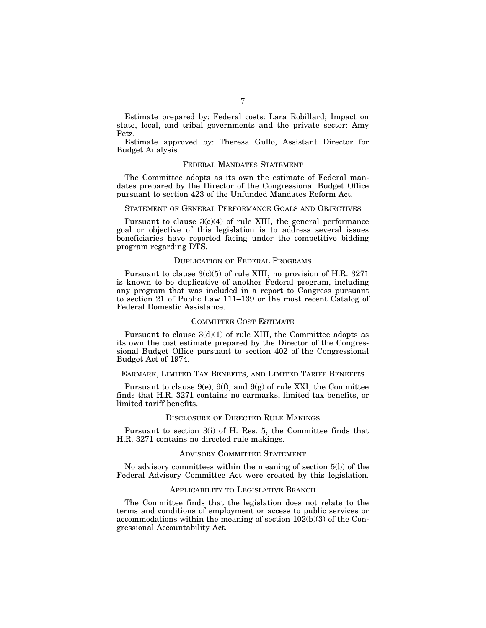Estimate prepared by: Federal costs: Lara Robillard; Impact on state, local, and tribal governments and the private sector: Amy Petz.

Estimate approved by: Theresa Gullo, Assistant Director for Budget Analysis.

#### FEDERAL MANDATES STATEMENT

The Committee adopts as its own the estimate of Federal mandates prepared by the Director of the Congressional Budget Office pursuant to section 423 of the Unfunded Mandates Reform Act.

## STATEMENT OF GENERAL PERFORMANCE GOALS AND OBJECTIVES

Pursuant to clause  $3(c)(4)$  of rule XIII, the general performance goal or objective of this legislation is to address several issues beneficiaries have reported facing under the competitive bidding program regarding DTS.

#### DUPLICATION OF FEDERAL PROGRAMS

Pursuant to clause  $3(c)(5)$  of rule XIII, no provision of H.R. 3271 is known to be duplicative of another Federal program, including any program that was included in a report to Congress pursuant to section 21 of Public Law 111–139 or the most recent Catalog of Federal Domestic Assistance.

#### COMMITTEE COST ESTIMATE

Pursuant to clause  $3(d)(1)$  of rule XIII, the Committee adopts as its own the cost estimate prepared by the Director of the Congressional Budget Office pursuant to section 402 of the Congressional Budget Act of 1974.

#### EARMARK, LIMITED TAX BENEFITS, AND LIMITED TARIFF BENEFITS

Pursuant to clause  $9(e)$ ,  $9(f)$ , and  $9(g)$  of rule XXI, the Committee finds that H.R. 3271 contains no earmarks, limited tax benefits, or limited tariff benefits.

#### DISCLOSURE OF DIRECTED RULE MAKINGS

Pursuant to section 3(i) of H. Res. 5, the Committee finds that H.R. 3271 contains no directed rule makings.

#### ADVISORY COMMITTEE STATEMENT

No advisory committees within the meaning of section 5(b) of the Federal Advisory Committee Act were created by this legislation.

#### APPLICABILITY TO LEGISLATIVE BRANCH

The Committee finds that the legislation does not relate to the terms and conditions of employment or access to public services or accommodations within the meaning of section 102(b)(3) of the Congressional Accountability Act.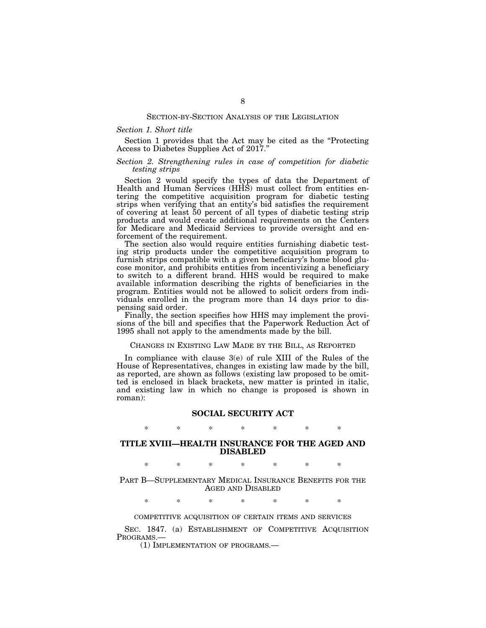#### SECTION-BY-SECTION ANALYSIS OF THE LEGISLATION

#### *Section 1. Short title*

Section 1 provides that the Act may be cited as the "Protecting" Access to Diabetes Supplies Act of 2017.''

### *Section 2. Strengthening rules in case of competition for diabetic testing strips*

Section 2 would specify the types of data the Department of Health and Human Services (HHS) must collect from entities entering the competitive acquisition program for diabetic testing strips when verifying that an entity's bid satisfies the requirement of covering at least 50 percent of all types of diabetic testing strip products and would create additional requirements on the Centers for Medicare and Medicaid Services to provide oversight and enforcement of the requirement.

The section also would require entities furnishing diabetic testing strip products under the competitive acquisition program to furnish strips compatible with a given beneficiary's home blood glucose monitor, and prohibits entities from incentivizing a beneficiary to switch to a different brand. HHS would be required to make available information describing the rights of beneficiaries in the program. Entities would not be allowed to solicit orders from individuals enrolled in the program more than 14 days prior to dispensing said order.

Finally, the section specifies how HHS may implement the provisions of the bill and specifies that the Paperwork Reduction Act of 1995 shall not apply to the amendments made by the bill.

#### CHANGES IN EXISTING LAW MADE BY THE BILL, AS REPORTED

In compliance with clause 3(e) of rule XIII of the Rules of the House of Representatives, changes in existing law made by the bill, as reported, are shown as follows (existing law proposed to be omitted is enclosed in black brackets, new matter is printed in italic, and existing law in which no change is proposed is shown in roman):

#### **SOCIAL SECURITY ACT**

## \* \* \* \* \* \* \*

## **TITLE XVIII—HEALTH INSURANCE FOR THE AGED AND DISABLED**

\* \* \* \* \* \* \*

PART B—SUPPLEMENTARY MEDICAL INSURANCE BENEFITS FOR THE AGED AND DISABLED

\* \* \* \* \* \* \*

#### COMPETITIVE ACQUISITION OF CERTAIN ITEMS AND SERVICES

SEC. 1847. (a) ESTABLISHMENT OF COMPETITIVE ACQUISITION PROGRAMS.—

(1) IMPLEMENTATION OF PROGRAMS.—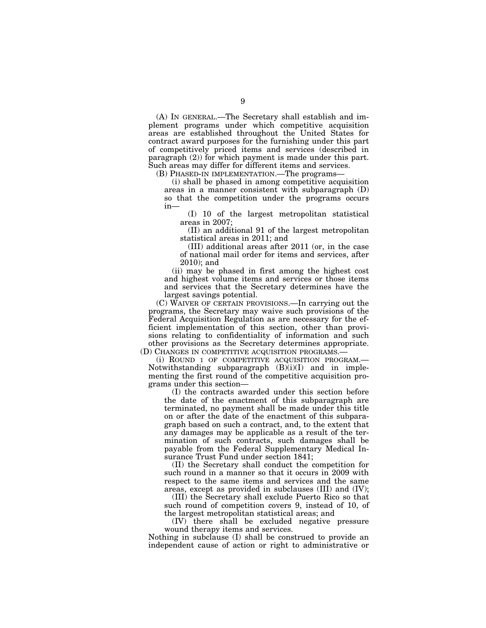(A) IN GENERAL.—The Secretary shall establish and implement programs under which competitive acquisition areas are established throughout the United States for contract award purposes for the furnishing under this part of competitively priced items and services (described in paragraph (2)) for which payment is made under this part. Such areas may differ for different items and services.

(B) PHASED-IN IMPLEMENTATION.—The programs—

(i) shall be phased in among competitive acquisition areas in a manner consistent with subparagraph (D) so that the competition under the programs occurs in—

(I) 10 of the largest metropolitan statistical areas in 2007;

(II) an additional 91 of the largest metropolitan statistical areas in 2011; and

(III) additional areas after 2011 (or, in the case of national mail order for items and services, after 2010); and

(ii) may be phased in first among the highest cost and highest volume items and services or those items and services that the Secretary determines have the largest savings potential.

(C) WAIVER OF CERTAIN PROVISIONS.—In carrying out the programs, the Secretary may waive such provisions of the Federal Acquisition Regulation as are necessary for the efficient implementation of this section, other than provisions relating to confidentiality of information and such other provisions as the Secretary determines appropriate. (D) CHANGES IN COMPETITIVE ACQUISITION PROGRAMS.—

(i) ROUND 1 OF COMPETITIVE ACQUISITION PROGRAM.— Notwithstanding subparagraph  $(B)(i)(I)$  and in implementing the first round of the competitive acquisition programs under this section—

(I) the contracts awarded under this section before the date of the enactment of this subparagraph are terminated, no payment shall be made under this title on or after the date of the enactment of this subparagraph based on such a contract, and, to the extent that any damages may be applicable as a result of the termination of such contracts, such damages shall be payable from the Federal Supplementary Medical Insurance Trust Fund under section 1841;

(II) the Secretary shall conduct the competition for such round in a manner so that it occurs in 2009 with respect to the same items and services and the same areas, except as provided in subclauses (III) and (IV);

(III) the Secretary shall exclude Puerto Rico so that such round of competition covers 9, instead of 10, of the largest metropolitan statistical areas; and

(IV) there shall be excluded negative pressure wound therapy items and services.

Nothing in subclause (I) shall be construed to provide an independent cause of action or right to administrative or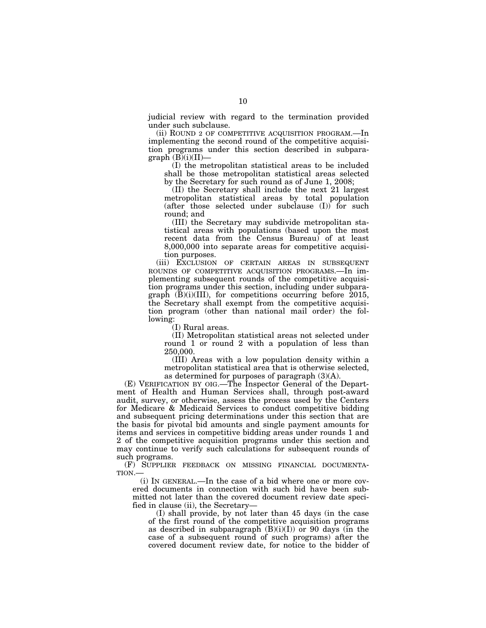judicial review with regard to the termination provided under such subclause.

(ii) ROUND 2 OF COMPETITIVE ACQUISITION PROGRAM.—In implementing the second round of the competitive acquisition programs under this section described in subpara $graph$  (B)(i)(II)-

(I) the metropolitan statistical areas to be included shall be those metropolitan statistical areas selected by the Secretary for such round as of June 1, 2008;

(II) the Secretary shall include the next 21 largest metropolitan statistical areas by total population  $(after those selected under subclause (I)) for such$ round; and

(III) the Secretary may subdivide metropolitan statistical areas with populations (based upon the most recent data from the Census Bureau) of at least 8,000,000 into separate areas for competitive acquisition purposes.

(iii) EXCLUSION OF CERTAIN AREAS IN SUBSEQUENT ROUNDS OF COMPETITIVE ACQUISITION PROGRAMS.—In implementing subsequent rounds of the competitive acquisition programs under this section, including under subparagraph  $(B)(i)(III)$ , for competitions occurring before 2015, the Secretary shall exempt from the competitive acquisition program (other than national mail order) the following:

(I) Rural areas.

(II) Metropolitan statistical areas not selected under round 1 or round 2 with a population of less than 250,000.

(III) Areas with a low population density within a metropolitan statistical area that is otherwise selected, as determined for purposes of paragraph (3)(A).

(E) VERIFICATION BY OIG.—The Inspector General of the Department of Health and Human Services shall, through post-award audit, survey, or otherwise, assess the process used by the Centers for Medicare & Medicaid Services to conduct competitive bidding and subsequent pricing determinations under this section that are the basis for pivotal bid amounts and single payment amounts for items and services in competitive bidding areas under rounds 1 and 2 of the competitive acquisition programs under this section and may continue to verify such calculations for subsequent rounds of such programs.

(F) SUPPLIER FEEDBACK ON MISSING FINANCIAL DOCUMENTA-TION.—

(i) IN GENERAL.—In the case of a bid where one or more covered documents in connection with such bid have been submitted not later than the covered document review date specified in clause (ii), the Secretary—

(I) shall provide, by not later than 45 days (in the case of the first round of the competitive acquisition programs as described in subparagraph  $(B)(i)(I)$  or 90 days (in the case of a subsequent round of such programs) after the covered document review date, for notice to the bidder of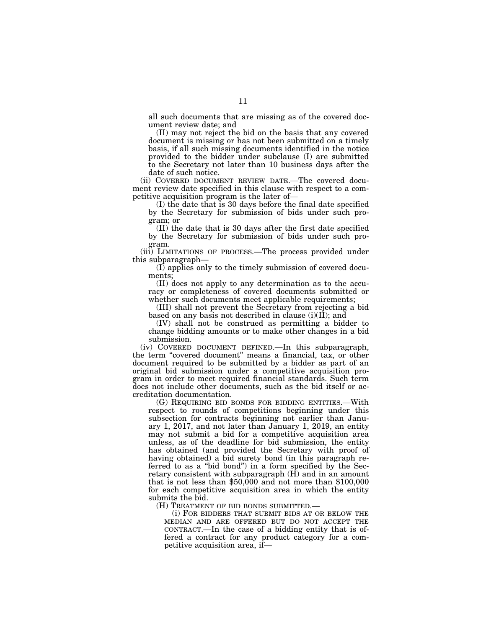all such documents that are missing as of the covered document review date; and

(II) may not reject the bid on the basis that any covered document is missing or has not been submitted on a timely basis, if all such missing documents identified in the notice provided to the bidder under subclause (I) are submitted to the Secretary not later than 10 business days after the date of such notice.

(ii) COVERED DOCUMENT REVIEW DATE.—The covered document review date specified in this clause with respect to a competitive acquisition program is the later of—

(I) the date that is 30 days before the final date specified by the Secretary for submission of bids under such program; or

(II) the date that is 30 days after the first date specified by the Secretary for submission of bids under such program.

(iii) LIMITATIONS OF PROCESS.—The process provided under this subparagraph—

(I) applies only to the timely submission of covered documents;

(II) does not apply to any determination as to the accuracy or completeness of covered documents submitted or whether such documents meet applicable requirements;

(III) shall not prevent the Secretary from rejecting a bid based on any basis not described in clause (i)(II); and

(IV) shall not be construed as permitting a bidder to change bidding amounts or to make other changes in a bid submission.

(iv) COVERED DOCUMENT DEFINED.—In this subparagraph, the term "covered document" means a financial, tax, or other document required to be submitted by a bidder as part of an original bid submission under a competitive acquisition program in order to meet required financial standards. Such term does not include other documents, such as the bid itself or accreditation documentation.

(G) REQUIRING BID BONDS FOR BIDDING ENTITIES.—With respect to rounds of competitions beginning under this subsection for contracts beginning not earlier than January 1, 2017, and not later than January 1, 2019, an entity may not submit a bid for a competitive acquisition area unless, as of the deadline for bid submission, the entity has obtained (and provided the Secretary with proof of having obtained) a bid surety bond (in this paragraph referred to as a ''bid bond'') in a form specified by the Secretary consistent with subparagraph  $(H)$  and in an amount that is not less than \$50,000 and not more than \$100,000 for each competitive acquisition area in which the entity submits the bid.

(H) TREATMENT OF BID BONDS SUBMITTED.— (i) FOR BIDDERS THAT SUBMIT BIDS AT OR BELOW THE MEDIAN AND ARE OFFERED BUT DO NOT ACCEPT THE CONTRACT.—In the case of a bidding entity that is offered a contract for any product category for a competitive acquisition area, if—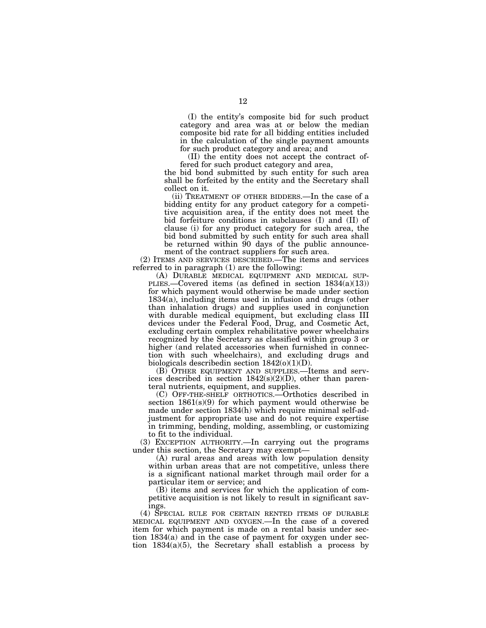(I) the entity's composite bid for such product category and area was at or below the median composite bid rate for all bidding entities included in the calculation of the single payment amounts for such product category and area; and

(II) the entity does not accept the contract offered for such product category and area,

the bid bond submitted by such entity for such area shall be forfeited by the entity and the Secretary shall collect on it.

(ii) TREATMENT OF OTHER BIDDERS.—In the case of a bidding entity for any product category for a competitive acquisition area, if the entity does not meet the bid forfeiture conditions in subclauses (I) and (II) of clause (i) for any product category for such area, the bid bond submitted by such entity for such area shall be returned within 90 days of the public announcement of the contract suppliers for such area.

(2) ITEMS AND SERVICES DESCRIBED.—The items and services referred to in paragraph (1) are the following:<br>(A) DURABLE MEDICAL EQUIPMENT AND MEDICAL SUP-

PLIES.—Covered items (as defined in section  $1834(a)(13)$ ) for which payment would otherwise be made under section 1834(a), including items used in infusion and drugs (other than inhalation drugs) and supplies used in conjunction with durable medical equipment, but excluding class III devices under the Federal Food, Drug, and Cosmetic Act, excluding certain complex rehabilitative power wheelchairs recognized by the Secretary as classified within group 3 or higher (and related accessories when furnished in connection with such wheelchairs), and excluding drugs and biologicals described in section  $1842(0)(1)(D)$ .

(B) OTHER EQUIPMENT AND SUPPLIES.—Items and services described in section 1842(s)(2)(D), other than parenteral nutrients, equipment, and supplies.

(C) OFF-THE-SHELF ORTHOTICS.—Orthotics described in section 1861(s)(9) for which payment would otherwise be made under section 1834(h) which require minimal self-adjustment for appropriate use and do not require expertise in trimming, bending, molding, assembling, or customizing to fit to the individual.

(3) EXCEPTION AUTHORITY.—In carrying out the programs under this section, the Secretary may exempt—

(A) rural areas and areas with low population density within urban areas that are not competitive, unless there is a significant national market through mail order for a particular item or service; and

(B) items and services for which the application of competitive acquisition is not likely to result in significant savings.

(4) SPECIAL RULE FOR CERTAIN RENTED ITEMS OF DURABLE MEDICAL EQUIPMENT AND OXYGEN.—In the case of a covered item for which payment is made on a rental basis under section 1834(a) and in the case of payment for oxygen under section  $1834(a)(5)$ , the Secretary shall establish a process by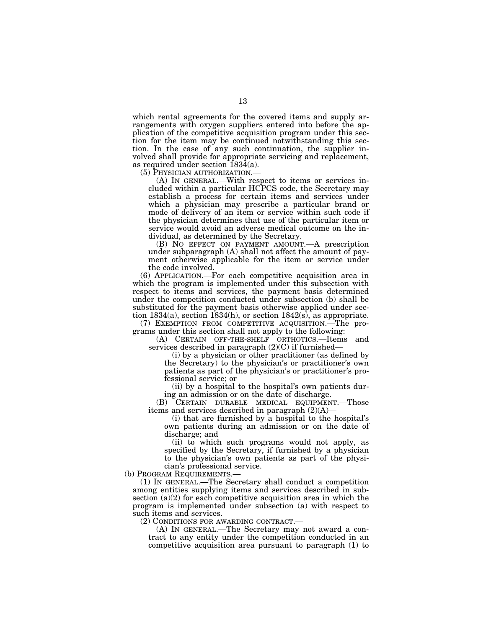which rental agreements for the covered items and supply arrangements with oxygen suppliers entered into before the application of the competitive acquisition program under this section for the item may be continued notwithstanding this section. In the case of any such continuation, the supplier involved shall provide for appropriate servicing and replacement, as required under section 1834(a).

(5) PHYSICIAN AUTHORIZATION.— (A) IN GENERAL.—With respect to items or services included within a particular HCPCS code, the Secretary may establish a process for certain items and services under which a physician may prescribe a particular brand or mode of delivery of an item or service within such code if the physician determines that use of the particular item or service would avoid an adverse medical outcome on the individual, as determined by the Secretary.

(B) NO EFFECT ON PAYMENT AMOUNT.—A prescription under subparagraph (A) shall not affect the amount of payment otherwise applicable for the item or service under the code involved.

(6) APPLICATION.—For each competitive acquisition area in which the program is implemented under this subsection with respect to items and services, the payment basis determined under the competition conducted under subsection (b) shall be substituted for the payment basis otherwise applied under section 1834(a), section 1834(h), or section 1842(s), as appropriate.

(7) EXEMPTION FROM COMPETITIVE ACQUISITION.—The programs under this section shall not apply to the following:

(A) CERTAIN OFF-THE-SHELF ORTHOTICS.—Items and services described in paragraph (2)(C) if furnished—

(i) by a physician or other practitioner (as defined by the Secretary) to the physician's or practitioner's own patients as part of the physician's or practitioner's professional service; or

(ii) by a hospital to the hospital's own patients during an admission or on the date of discharge.

(B) CERTAIN DURABLE MEDICAL EQUIPMENT.—Those items and services described in paragraph  $(2)(A)$ —

(i) that are furnished by a hospital to the hospital's own patients during an admission or on the date of discharge; and

(ii) to which such programs would not apply, as specified by the Secretary, if furnished by a physician to the physician's own patients as part of the physician's professional service.

(b) PROGRAM REQUIREMENTS.—

(1) IN GENERAL.—The Secretary shall conduct a competition among entities supplying items and services described in subsection  $(a)(2)$  for each competitive acquisition area in which the program is implemented under subsection (a) with respect to such items and services.

(2) CONDITIONS FOR AWARDING CONTRACT.— (A) IN GENERAL.—The Secretary may not award a contract to any entity under the competition conducted in an competitive acquisition area pursuant to paragraph (1) to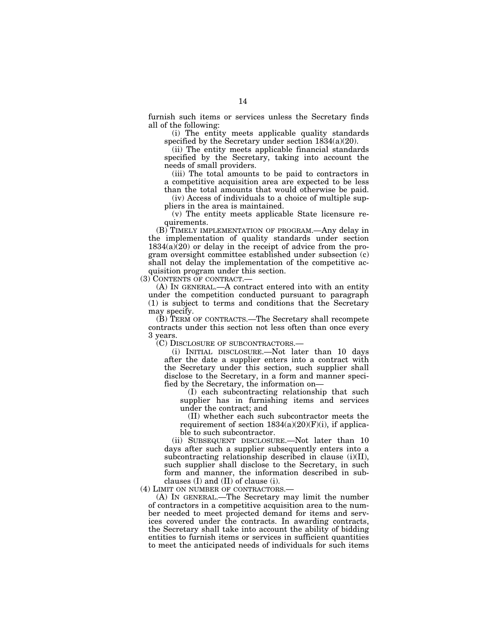furnish such items or services unless the Secretary finds all of the following:

(i) The entity meets applicable quality standards specified by the Secretary under section  $1834(a)(20)$ .

(ii) The entity meets applicable financial standards specified by the Secretary, taking into account the needs of small providers.

(iii) The total amounts to be paid to contractors in a competitive acquisition area are expected to be less than the total amounts that would otherwise be paid.

(iv) Access of individuals to a choice of multiple suppliers in the area is maintained.

(v) The entity meets applicable State licensure requirements.

(B) TIMELY IMPLEMENTATION OF PROGRAM.—Any delay in the implementation of quality standards under section 1834(a)(20) or delay in the receipt of advice from the program oversight committee established under subsection (c) shall not delay the implementation of the competitive acquisition program under this section.

(3) CONTENTS OF CONTRACT.—

(A) IN GENERAL.—A contract entered into with an entity under the competition conducted pursuant to paragraph (1) is subject to terms and conditions that the Secretary may specify.

(B) TERM OF CONTRACTS.—The Secretary shall recompete contracts under this section not less often than once every 3 years.

(C) DISCLOSURE OF SUBCONTRACTORS.—

(i) INITIAL DISCLOSURE.—Not later than 10 days after the date a supplier enters into a contract with the Secretary under this section, such supplier shall disclose to the Secretary, in a form and manner specified by the Secretary, the information on—

(I) each subcontracting relationship that such supplier has in furnishing items and services under the contract; and

(II) whether each such subcontractor meets the requirement of section  $1834(a)(20)(F)(i)$ , if applicable to such subcontractor.

(ii) SUBSEQUENT DISCLOSURE.—Not later than 10 days after such a supplier subsequently enters into a subcontracting relationship described in clause (i)(II), such supplier shall disclose to the Secretary, in such form and manner, the information described in subclauses (I) and (II) of clause (i).

(4) LIMIT ON NUMBER OF CONTRACTORS.—

(A) IN GENERAL.—The Secretary may limit the number of contractors in a competitive acquisition area to the number needed to meet projected demand for items and services covered under the contracts. In awarding contracts, the Secretary shall take into account the ability of bidding entities to furnish items or services in sufficient quantities to meet the anticipated needs of individuals for such items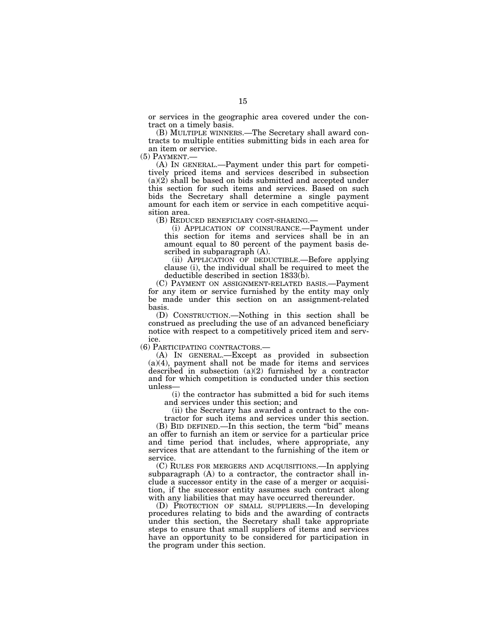or services in the geographic area covered under the contract on a timely basis.

(B) MULTIPLE WINNERS.—The Secretary shall award contracts to multiple entities submitting bids in each area for an item or service.<br>(5) PAYMENT.—

 $(A)$  In GENERAL.—Payment under this part for competitively priced items and services described in subsection  $(a)(2)$  shall be based on bids submitted and accepted under this section for such items and services. Based on such bids the Secretary shall determine a single payment amount for each item or service in each competitive acquisition area.

(B) REDUCED BENEFICIARY COST-SHARING.—

(i) APPLICATION OF COINSURANCE.—Payment under this section for items and services shall be in an amount equal to 80 percent of the payment basis described in subparagraph (A).

(ii) APPLICATION OF DEDUCTIBLE.—Before applying clause (i), the individual shall be required to meet the deductible described in section 1833(b).

(C) PAYMENT ON ASSIGNMENT-RELATED BASIS.—Payment for any item or service furnished by the entity may only be made under this section on an assignment-related basis.

(D) CONSTRUCTION.—Nothing in this section shall be construed as precluding the use of an advanced beneficiary notice with respect to a competitively priced item and service.

(6) PARTICIPATING CONTRACTORS.—

(A) IN GENERAL.—Except as provided in subsection  $(a)(4)$ , payment shall not be made for items and services described in subsection (a)(2) furnished by a contractor and for which competition is conducted under this section unless—

(i) the contractor has submitted a bid for such items and services under this section; and

(ii) the Secretary has awarded a contract to the contractor for such items and services under this section.

(B) BID DEFINED.—In this section, the term ''bid'' means an offer to furnish an item or service for a particular price and time period that includes, where appropriate, any services that are attendant to the furnishing of the item or service.

(C) RULES FOR MERGERS AND ACQUISITIONS.—In applying subparagraph (A) to a contractor, the contractor shall include a successor entity in the case of a merger or acquisition, if the successor entity assumes such contract along with any liabilities that may have occurred thereunder.

(D) PROTECTION OF SMALL SUPPLIERS.—In developing procedures relating to bids and the awarding of contracts under this section, the Secretary shall take appropriate steps to ensure that small suppliers of items and services have an opportunity to be considered for participation in the program under this section.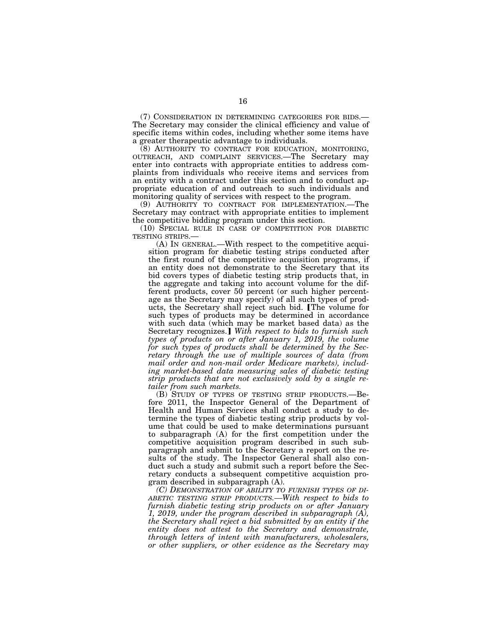(7) CONSIDERATION IN DETERMINING CATEGORIES FOR BIDS.— The Secretary may consider the clinical efficiency and value of specific items within codes, including whether some items have a greater therapeutic advantage to individuals.<br>(8) AUTHORITY TO CONTRACT FOR EDUCATION, MONITORING,

OUTREACH, AND COMPLAINT SERVICES.—The Secretary may enter into contracts with appropriate entities to address complaints from individuals who receive items and services from an entity with a contract under this section and to conduct appropriate education of and outreach to such individuals and monitoring quality of services with respect to the program.

(9) AUTHORITY TO CONTRACT FOR IMPLEMENTATION.—The Secretary may contract with appropriate entities to implement the competitive bidding program under this section.

(10) SPECIAL RULE IN CASE OF COMPETITION FOR DIABETIC TESTING STRIPS.—

(A) IN GENERAL.—With respect to the competitive acquisition program for diabetic testing strips conducted after the first round of the competitive acquisition programs, if an entity does not demonstrate to the Secretary that its bid covers types of diabetic testing strip products that, in the aggregate and taking into account volume for the different products, cover 50 percent (or such higher percentage as the Secretary may specify) of all such types of products, the Secretary shall reject such bid. The volume for such types of products may be determined in accordance with such data (which may be market based data) as the Secretary recognizes.] With respect to bids to furnish such *types of products on or after January 1, 2019, the volume for such types of products shall be determined by the Secretary through the use of multiple sources of data (from mail order and non-mail order Medicare markets), including market-based data measuring sales of diabetic testing strip products that are not exclusively sold by a single retailer from such markets.* 

(B) STUDY OF TYPES OF TESTING STRIP PRODUCTS.—Before 2011, the Inspector General of the Department of Health and Human Services shall conduct a study to determine the types of diabetic testing strip products by volume that could be used to make determinations pursuant to subparagraph (A) for the first competition under the competitive acquisition program described in such subparagraph and submit to the Secretary a report on the results of the study. The Inspector General shall also conduct such a study and submit such a report before the Secretary conducts a subsequent competitive acquistion program described in subparagraph (A).

*(C) DEMONSTRATION OF ABILITY TO FURNISH TYPES OF DI-ABETIC TESTING STRIP PRODUCTS.—With respect to bids to furnish diabetic testing strip products on or after January 1, 2019, under the program described in subparagraph (A), the Secretary shall reject a bid submitted by an entity if the entity does not attest to the Secretary and demonstrate, through letters of intent with manufacturers, wholesalers, or other suppliers, or other evidence as the Secretary may*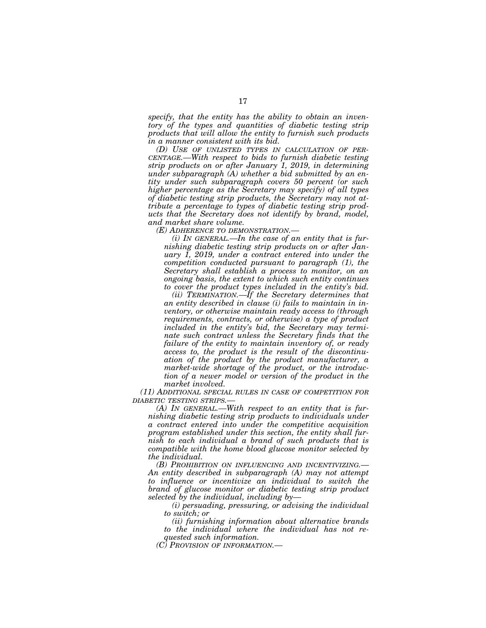*specify, that the entity has the ability to obtain an inventory of the types and quantities of diabetic testing strip products that will allow the entity to furnish such products in a manner consistent with its bid.* 

*(D) USE OF UNLISTED TYPES IN CALCULATION OF PER-CENTAGE.—With respect to bids to furnish diabetic testing strip products on or after January 1, 2019, in determining under subparagraph (A) whether a bid submitted by an entity under such subparagraph covers 50 percent (or such higher percentage as the Secretary may specify) of all types of diabetic testing strip products, the Secretary may not attribute a percentage to types of diabetic testing strip products that the Secretary does not identify by brand, model, and market share volume.* 

*(E) ADHERENCE TO DEMONSTRATION.—* 

*(i) IN GENERAL.—In the case of an entity that is furnishing diabetic testing strip products on or after January 1, 2019, under a contract entered into under the competition conducted pursuant to paragraph (1), the Secretary shall establish a process to monitor, on an ongoing basis, the extent to which such entity continues to cover the product types included in the entity's bid.* 

*(ii) TERMINATION.—If the Secretary determines that an entity described in clause (i) fails to maintain in inventory, or otherwise maintain ready access to (through requirements, contracts, or otherwise) a type of product included in the entity's bid, the Secretary may terminate such contract unless the Secretary finds that the failure of the entity to maintain inventory of, or ready access to, the product is the result of the discontinuation of the product by the product manufacturer, a market-wide shortage of the product, or the introduction of a newer model or version of the product in the market involved.* 

*(11) ADDITIONAL SPECIAL RULES IN CASE OF COMPETITION FOR DIABETIC TESTING STRIPS.—* 

*(A) IN GENERAL.—With respect to an entity that is furnishing diabetic testing strip products to individuals under a contract entered into under the competitive acquisition program established under this section, the entity shall furnish to each individual a brand of such products that is compatible with the home blood glucose monitor selected by the individual.* 

*(B) PROHIBITION ON INFLUENCING AND INCENTIVIZING.— An entity described in subparagraph (A) may not attempt to influence or incentivize an individual to switch the brand of glucose monitor or diabetic testing strip product selected by the individual, including by—* 

*(i) persuading, pressuring, or advising the individual to switch; or* 

*(ii) furnishing information about alternative brands to the individual where the individual has not requested such information.* 

*(C) PROVISION OF INFORMATION.—*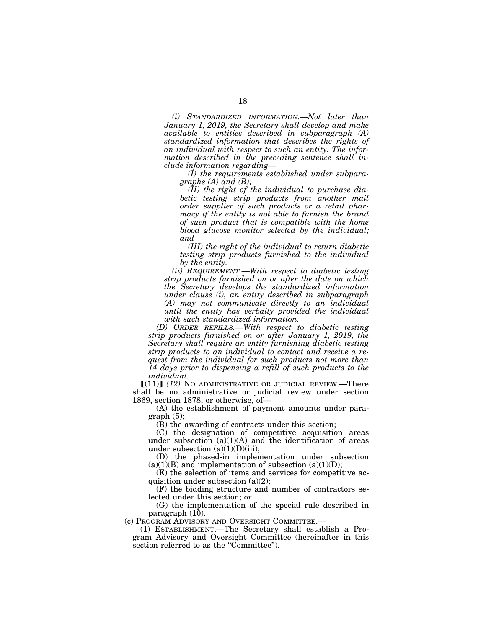*(i) STANDARDIZED INFORMATION.—Not later than January 1, 2019, the Secretary shall develop and make available to entities described in subparagraph (A) standardized information that describes the rights of an individual with respect to such an entity. The information described in the preceding sentence shall include information regarding—* 

*(I) the requirements established under subparagraphs (A) and (B);* 

*(II) the right of the individual to purchase diabetic testing strip products from another mail order supplier of such products or a retail pharmacy if the entity is not able to furnish the brand of such product that is compatible with the home blood glucose monitor selected by the individual; and* 

*(III) the right of the individual to return diabetic testing strip products furnished to the individual by the entity.* 

*(ii) REQUIREMENT.—With respect to diabetic testing strip products furnished on or after the date on which the Secretary develops the standardized information under clause (i), an entity described in subparagraph (A) may not communicate directly to an individual until the entity has verbally provided the individual with such standardized information.* 

*(D) ORDER REFILLS.—With respect to diabetic testing strip products furnished on or after January 1, 2019, the Secretary shall require an entity furnishing diabetic testing strip products to an individual to contact and receive a request from the individual for such products not more than 14 days prior to dispensing a refill of such products to the individual.* 

 $[(11)]$   $(12)$  No administrative or judicial review.—There shall be no administrative or judicial review under section 1869, section 1878, or otherwise, of—

(A) the establishment of payment amounts under paragraph (5);

(B) the awarding of contracts under this section;

(C) the designation of competitive acquisition areas under subsection (a)(1)(A) and the identification of areas under subsection  $(a)(1)(D)(iii)$ ;

(D) the phased-in implementation under subsection  $(a)(1)(B)$  and implementation of subsection  $(a)(1)(D)$ ;

(E) the selection of items and services for competitive acquisition under subsection  $(a)(2)$ ;

(F) the bidding structure and number of contractors selected under this section; or

(G) the implementation of the special rule described in paragraph (10).

(c) PROGRAM ADVISORY AND OVERSIGHT COMMITTEE.—

(1) ESTABLISHMENT.—The Secretary shall establish a Program Advisory and Oversight Committee (hereinafter in this section referred to as the "Committee").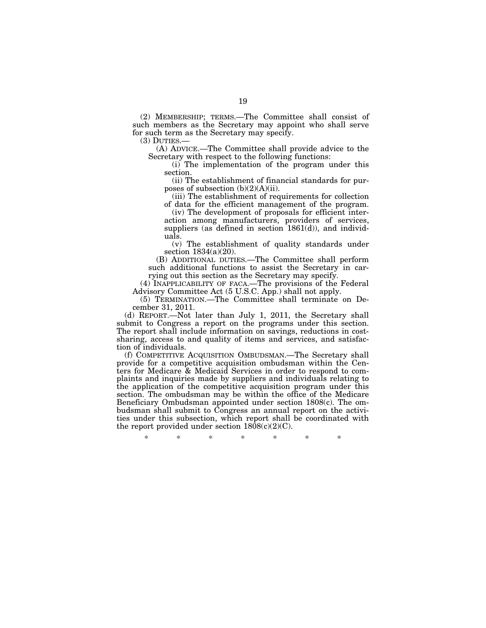(2) MEMBERSHIP; TERMS.—The Committee shall consist of such members as the Secretary may appoint who shall serve for such term as the Secretary may specify.

(3) DUTIES.— (A) ADVICE.—The Committee shall provide advice to the Secretary with respect to the following functions:

(i) The implementation of the program under this section.

(ii) The establishment of financial standards for purposes of subsection  $(b)(2)(A)(ii)$ .

(iii) The establishment of requirements for collection of data for the efficient management of the program.

(iv) The development of proposals for efficient interaction among manufacturers, providers of services, suppliers (as defined in section  $1861(d)$ ), and individuals.

(v) The establishment of quality standards under section 1834(a)(20).

(B) ADDITIONAL DUTIES.—The Committee shall perform such additional functions to assist the Secretary in carrying out this section as the Secretary may specify.

(4) INAPPLICABILITY OF FACA.—The provisions of the Federal Advisory Committee Act (5 U.S.C. App.) shall not apply.

(5) TERMINATION.—The Committee shall terminate on December 31, 2011.

(d) REPORT.—Not later than July 1, 2011, the Secretary shall submit to Congress a report on the programs under this section. The report shall include information on savings, reductions in costsharing, access to and quality of items and services, and satisfaction of individuals.

(f) COMPETITIVE ACQUISITION OMBUDSMAN.—The Secretary shall provide for a competitive acquisition ombudsman within the Centers for Medicare & Medicaid Services in order to respond to complaints and inquiries made by suppliers and individuals relating to the application of the competitive acquisition program under this section. The ombudsman may be within the office of the Medicare Beneficiary Ombudsman appointed under section 1808(c). The ombudsman shall submit to Congress an annual report on the activities under this subsection, which report shall be coordinated with the report provided under section  $1808(c)(2)(C)$ .

\* \* \* \* \* \* \*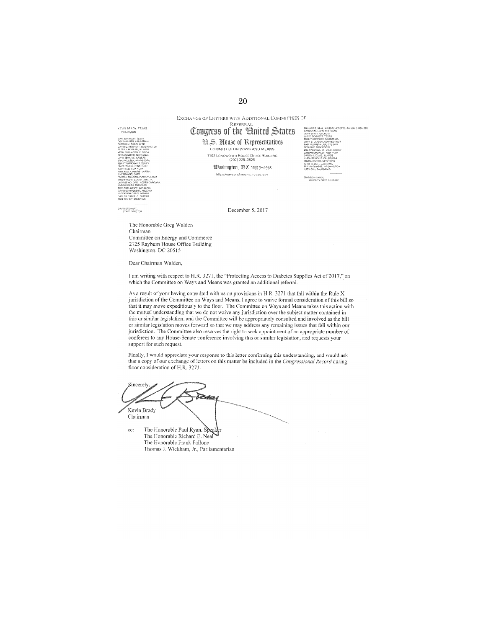EXCHANGE OF LETTERS WITH ADDITIONAL COMMITTEES OF REFERRAL

# Congress of the United States

H.S. House of Representatives COMMITTEE ON WAYS AND MEANS 1102 LONGWORTH HOUSE OFFICE BUILDING

> Udashington, DC 20515-0548 http://waysandmeans.house.gov



**BETEWARE**<br>STAFF DIRECTOR

KEVIN BRADY, TEXAS

December 5, 2017

The Honorable Greg Walden Chairman Committee on Energy and Commerce 2125 Rayburn House Office Building Washington, DC 20515

Dear Chairman Walden,

I am writing with respect to H.R. 3271, the "Protecting Access to Diabetes Supplies Act of 2017," on which the Committee on Ways and Means was granted an additional referral.

As a result of your having consulted with us on provisions in H.R. 3271 that fall within the Rule X jurisdiction of the Committee on Ways and Means, I agree to waive formal consideration of this bill so that it may move expeditiously to the floor. The Committee on Ways and Means takes this action with the mutual understanding that we do not waive any jurisdiction over the subject matter contained in this or similar legislation, and the Committee will be appropriately consulted and involved as the bill or similar legislation moves forward so that we may address any remaining issues that fall within our jurisdiction. The Committee also reserves the right to seek appointment of an appropriate number of conferees to any House-Senate conference involving this or similar legislation, and requests your support for such request.

Finally, I would appreciate your response to this letter confirming this understanding, and would ask that a copy of our exchange of letters on this matter be included in the Congressional Record during floor consideration of H.R. 3271.

Sincerel Kevin Brady Chairman

The Honorable Paul Ryan, Sp ec: The Honorable Richard E. Neal The Honorable Frank Pallone Thomas J. Wickham, Jr., Parliamentarian